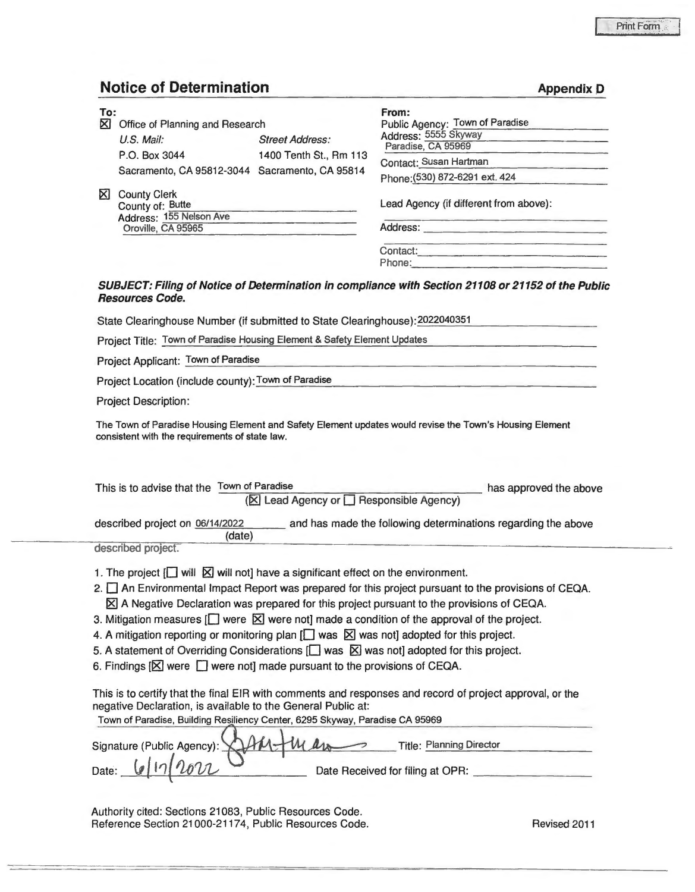**Appendix D** 

## **Notice of Determination**

| To:<br>⊠ | Office of Planning and Research                                    |                        | From:<br>Public Agency: Town of Paradise<br>Address: 5555 Skyway<br>Paradise, CA 95969<br>Contact: Susan Hartman<br>Phone: (530) 872-6291 ext. 424 |  |  |  |  |
|----------|--------------------------------------------------------------------|------------------------|----------------------------------------------------------------------------------------------------------------------------------------------------|--|--|--|--|
|          | $U.S.$ Mail:                                                       | <b>Street Address:</b> |                                                                                                                                                    |  |  |  |  |
|          | P.O. Box 3044                                                      | 1400 Tenth St., Rm 113 |                                                                                                                                                    |  |  |  |  |
|          | Sacramento, CA 95812-3044 Sacramento, CA 95814                     |                        |                                                                                                                                                    |  |  |  |  |
| ΚI       | <b>County Clerk</b><br>County of: Butte<br>Address: 155 Nelson Ave |                        | Lead Agency (if different from above):                                                                                                             |  |  |  |  |
|          | Oroville, CA 95965                                                 |                        | Address:<br>Contact:                                                                                                                               |  |  |  |  |
|          |                                                                    |                        | Phone:                                                                                                                                             |  |  |  |  |
|          | <b>Resources Code.</b>                                             |                        | SUBJECT: Filing of Notice of Determination in compliance with Section 21108 or 21152 of the Public                                                 |  |  |  |  |

State Clearinghouse Number (if submitted to State Clearinghouse): 2022040351

Project Title: Town of Paradise Housing Element & Safety Element Updates

Project Applicant: Town of Paradise

Project Location (include county): Town of Paradise

Project Description:

The Town of Paradise Housing Element and Safety Element updates would revise the Town's Housing Element consistent with the requirements of state law.

| This is to advise that the Town of Paradise<br>has approved the above<br>(⊠ Lead Agency or □ Responsible Agency) |  |  |  |  |  |  |  |
|------------------------------------------------------------------------------------------------------------------|--|--|--|--|--|--|--|
| described project on 06/14/2022<br>and has made the following determinations regarding the above<br>(date)       |  |  |  |  |  |  |  |
| described project.                                                                                               |  |  |  |  |  |  |  |
| 1. The project $\Box$ will $\boxtimes$ will not] have a significant effect on the environment.                   |  |  |  |  |  |  |  |
| 2. An Environmental Impact Report was prepared for this project pursuant to the provisions of CEQA.              |  |  |  |  |  |  |  |
| $\boxtimes$ A Negative Declaration was prepared for this project pursuant to the provisions of CEQA.             |  |  |  |  |  |  |  |
| 3. Mitigation measures $\Box$ were $\boxtimes$ were not] made a condition of the approval of the project.        |  |  |  |  |  |  |  |
| 4. A mitigation reporting or monitoring plan $\Box$ was $\boxtimes$ was not] adopted for this project.           |  |  |  |  |  |  |  |
| 5. A statement of Overriding Considerations $\Box$ was $\boxtimes$ was not] adopted for this project.            |  |  |  |  |  |  |  |
| 6. Findings $[\mathbb{X}]$ were $[\mathbb{I}]$ were not] made pursuant to the provisions of CEQA.                |  |  |  |  |  |  |  |
|                                                                                                                  |  |  |  |  |  |  |  |
| This is to certify that the final EIR with comments and responses and record of project approval, or the         |  |  |  |  |  |  |  |
| negative Declaration, is available to the General Public at:                                                     |  |  |  |  |  |  |  |
| Town of Paradise, Building Resiliency Center, 6295 Skyway, Paradise CA 95969                                     |  |  |  |  |  |  |  |
| <b>Title: Planning Director</b><br>Signature (Public Agency):                                                    |  |  |  |  |  |  |  |
| Date Received for filing at OPR:<br>Date:                                                                        |  |  |  |  |  |  |  |

Authority cited: Sections 21083, Public Resources Code. Reference Section 21000-21174, Public Resources Code. Revised 2011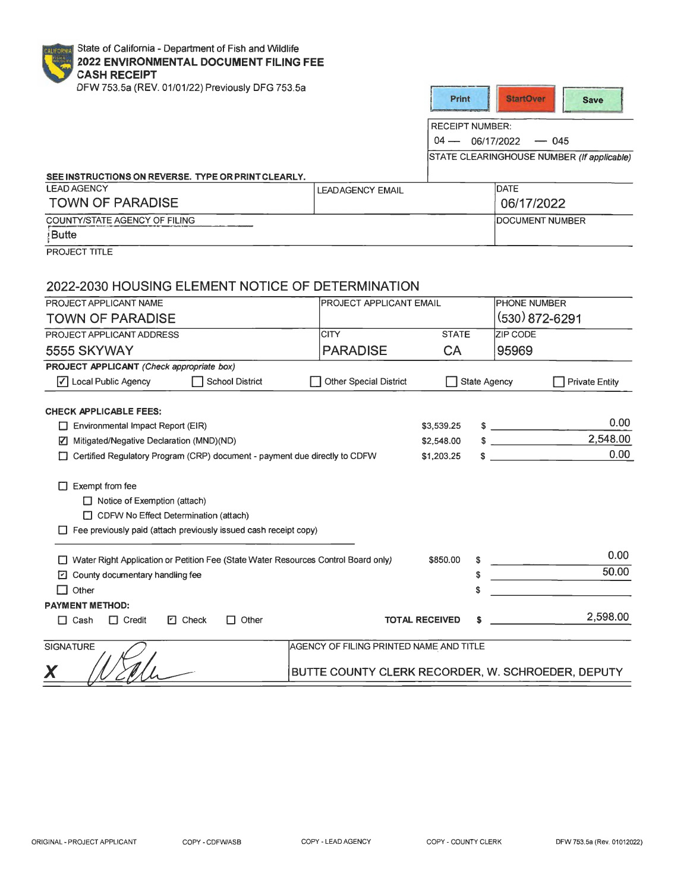| State of California - Department of Fish and Wildlife<br>CALIFORNIA<br>2022 ENVIRONMENTAL DOCUMENT FILING FEE<br><b>CASH RECEIPT</b> |                                                   |                        |              |                                            |          |                       |
|--------------------------------------------------------------------------------------------------------------------------------------|---------------------------------------------------|------------------------|--------------|--------------------------------------------|----------|-----------------------|
| DFW 753.5a (REV. 01/01/22) Previously DFG 753.5a                                                                                     |                                                   | Print                  |              | <b>StartOver</b>                           |          | <b>Save</b>           |
|                                                                                                                                      |                                                   | <b>RECEIPT NUMBER:</b> |              |                                            |          |                       |
|                                                                                                                                      | $04 -$<br>06/17/2022<br>$-045$                    |                        |              |                                            |          |                       |
|                                                                                                                                      |                                                   |                        |              | STATE CLEARINGHOUSE NUMBER (If applicable) |          |                       |
|                                                                                                                                      |                                                   |                        |              |                                            |          |                       |
| SEE INSTRUCTIONS ON REVERSE. TYPE OR PRINT CLEARLY.<br><b>LEAD AGENCY</b>                                                            | <b>LEADAGENCY EMAIL</b>                           |                        |              | DATE                                       |          |                       |
| <b>TOWN OF PARADISE</b>                                                                                                              |                                                   |                        |              | 06/17/2022                                 |          |                       |
| COUNTY/STATE AGENCY OF FILING                                                                                                        |                                                   |                        |              | <b>DOCUMENT NUMBER</b>                     |          |                       |
| <b>Butte</b>                                                                                                                         |                                                   |                        |              |                                            |          |                       |
| PROJECT TITLE                                                                                                                        |                                                   |                        |              |                                            |          |                       |
|                                                                                                                                      |                                                   |                        |              |                                            |          |                       |
| 2022-2030 HOUSING ELEMENT NOTICE OF DETERMINATION                                                                                    |                                                   |                        |              |                                            |          |                       |
| PROJECT APPLICANT NAME                                                                                                               | PROJECT APPLICANT EMAIL                           |                        |              | <b>PHONE NUMBER</b>                        |          |                       |
| <b>TOWN OF PARADISE</b>                                                                                                              |                                                   |                        |              | (530) 872-6291                             |          |                       |
| PROJECT APPLICANT ADDRESS                                                                                                            | <b>CITY</b>                                       | <b>STATE</b>           |              | <b>ZIP CODE</b>                            |          |                       |
| 5555 SKYWAY                                                                                                                          | <b>PARADISE</b>                                   | CA                     |              | 95969                                      |          |                       |
| PROJECT APPLICANT (Check appropriate box)                                                                                            |                                                   |                        |              |                                            |          |                       |
| √ Local Public Agency<br><b>School District</b>                                                                                      | <b>Other Special District</b>                     |                        | State Agency |                                            |          | <b>Private Entity</b> |
|                                                                                                                                      |                                                   |                        |              |                                            |          |                       |
| <b>CHECK APPLICABLE FEES:</b>                                                                                                        |                                                   |                        |              |                                            |          | 0.00                  |
| $\Box$ Environmental Impact Report (EIR)                                                                                             |                                                   | \$3,539.25             |              | $\frac{1}{2}$                              |          |                       |
| Mitigated/Negative Declaration (MND)(ND)                                                                                             |                                                   | \$2,548.00             |              | $\frac{1}{2}$                              |          | 2,548.00              |
| Certified Regulatory Program (CRP) document - payment due directly to CDFW                                                           |                                                   | \$1,203.25             | S            |                                            |          | 0.00                  |
|                                                                                                                                      |                                                   |                        |              |                                            |          |                       |
| $\Box$ Exempt from fee                                                                                                               |                                                   |                        |              |                                            |          |                       |
| $\Box$ Notice of Exemption (attach)                                                                                                  |                                                   |                        |              |                                            |          |                       |
| CDFW No Effect Determination (attach)                                                                                                |                                                   |                        |              |                                            |          |                       |
| $\Box$ Fee previously paid (attach previously issued cash receipt copy)                                                              |                                                   |                        |              |                                            |          |                       |
| □ Water Right Application or Petition Fee (State Water Resources Control Board only)                                                 |                                                   | \$850.00               |              |                                            |          | 0.00                  |
| $\Box$ County documentary handling fee                                                                                               |                                                   |                        |              |                                            | 50.00    |                       |
| $\Box$ Other                                                                                                                         |                                                   |                        | S            |                                            |          |                       |
| <b>PAYMENT METHOD:</b>                                                                                                               |                                                   |                        |              |                                            |          |                       |
| $\Box$ Credit<br>$\Box$ Check<br>Other<br>$\Box$ Cash<br>U                                                                           | <b>TOTAL RECEIVED</b>                             | s                      |              |                                            | 2,598.00 |                       |
| <b>SIGNATURE</b>                                                                                                                     | AGENCY OF FILING PRINTED NAME AND TITLE           |                        |              |                                            |          |                       |
|                                                                                                                                      |                                                   |                        |              |                                            |          |                       |
|                                                                                                                                      | BUTTE COUNTY CLERK RECORDER, W. SCHROEDER, DEPUTY |                        |              |                                            |          |                       |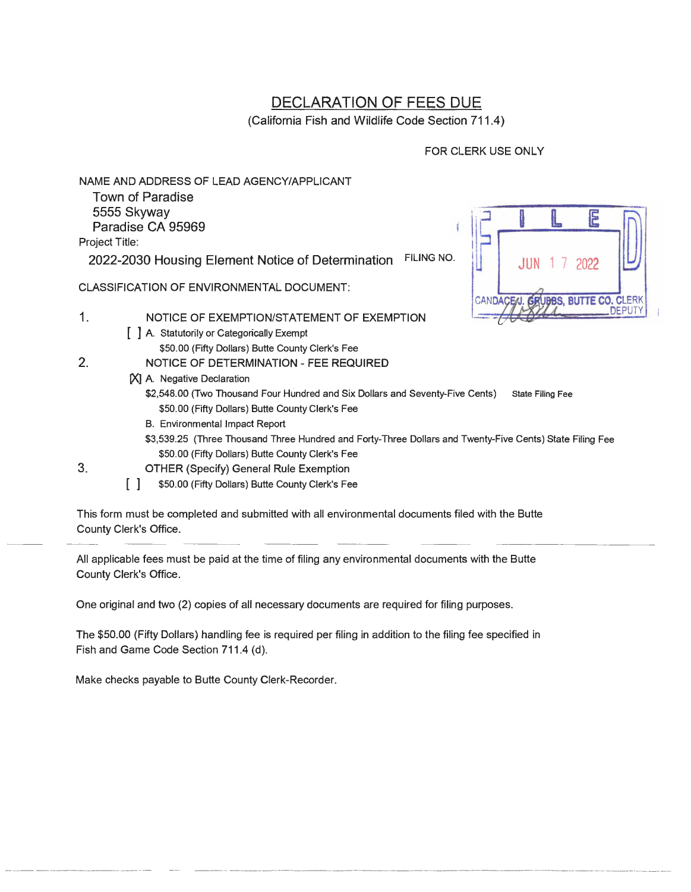## DECLARATION OF FEES DUE

(California Fish and Wildlife Code Section 711.4}

## FOR CLERK USE ONLY

NAME AND ADDRESS OF LEAD AGENCY/APPLICANT

Town of Paradise 5555 Skyway Paradise CA 95969 Project Title:

2022-2030 Housing Element Notice of Determination FILING NO.

CLASSIFICATION OF ENVIRONMENTAL DOCUMENT:

- 1. NOTICE OF EXEMPTION/STATEMENT OF EXEMPTION
	- [ ] A. Statutorily or Categorically Exempt
- \$50.00 (Fifty Dollars) Butte County Clerk's Fee 2. NOTICE OF DETERMINATION - FEE REQUIRED
	- **IXI A. Negative Declaration** 
		- \$2,548.00 (Two Thousand Four Hundred and Six Dollars and Seventy-Five Cents) State Filing Fee \$50.00 (Fifty Dollars) Butte County Clerk's Fee
		- B. Environmental Impact Report
		- \$3,539.25 (Three Thousand Three Hundred and Forty-Three Dollars and Twenty-Five Cents) State Filing Fee \$50.00 (Fifty Dollars) Butte County Clerk's Fee
- 3. OTHER (Specify) General Rule Exemption
	- **[ ] \$50.00 (Fifty Dollars) Butte County Clerk's Fee**

This form must be completed and submitted with all environmental documents filed with the Butte County Clerk's Office.

All applicable fees must be paid at the time of filing any environmental documents with the Butte County Clerk's Office.

One original and two (2) copies of all necessary documents are required for filing purposes.

The \$50.00 (Fifty Dollars) handling fee is required per filing in addition to the filing fee specified in Fish and Game Code Section 711.4 (d).

Make checks payable to Butte County Clerk-Recorder.